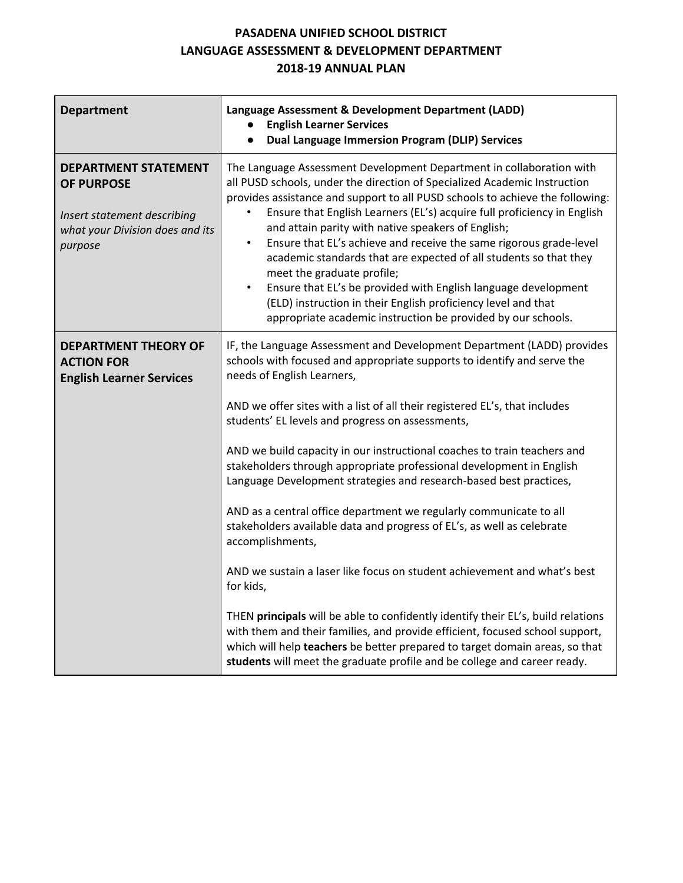## **PASADENA UNIFIED SCHOOL DISTRICT LANGUAGE ASSESSMENT & DEVELOPMENT DEPARTMENT 2018-19 ANNUAL PLAN**

| <b>Department</b>                                                                                                             | Language Assessment & Development Department (LADD)<br><b>English Learner Services</b><br><b>Dual Language Immersion Program (DLIP) Services</b><br>$\bullet$                                                                                                                                                                                                                                                                                                                                                                                                                                                                                                                                                                                                                                                                                                                                |  |  |
|-------------------------------------------------------------------------------------------------------------------------------|----------------------------------------------------------------------------------------------------------------------------------------------------------------------------------------------------------------------------------------------------------------------------------------------------------------------------------------------------------------------------------------------------------------------------------------------------------------------------------------------------------------------------------------------------------------------------------------------------------------------------------------------------------------------------------------------------------------------------------------------------------------------------------------------------------------------------------------------------------------------------------------------|--|--|
| <b>DEPARTMENT STATEMENT</b><br><b>OF PURPOSE</b><br>Insert statement describing<br>what your Division does and its<br>purpose | The Language Assessment Development Department in collaboration with<br>all PUSD schools, under the direction of Specialized Academic Instruction<br>provides assistance and support to all PUSD schools to achieve the following:<br>Ensure that English Learners (EL's) acquire full proficiency in English<br>and attain parity with native speakers of English;<br>Ensure that EL's achieve and receive the same rigorous grade-level<br>$\bullet$<br>academic standards that are expected of all students so that they<br>meet the graduate profile;<br>Ensure that EL's be provided with English language development<br>$\bullet$<br>(ELD) instruction in their English proficiency level and that<br>appropriate academic instruction be provided by our schools.                                                                                                                    |  |  |
| <b>DEPARTMENT THEORY OF</b><br><b>ACTION FOR</b><br><b>English Learner Services</b>                                           | IF, the Language Assessment and Development Department (LADD) provides<br>schools with focused and appropriate supports to identify and serve the<br>needs of English Learners,<br>AND we offer sites with a list of all their registered EL's, that includes<br>students' EL levels and progress on assessments,<br>AND we build capacity in our instructional coaches to train teachers and<br>stakeholders through appropriate professional development in English<br>Language Development strategies and research-based best practices,<br>AND as a central office department we regularly communicate to all<br>stakeholders available data and progress of EL's, as well as celebrate<br>accomplishments,<br>AND we sustain a laser like focus on student achievement and what's best<br>for kids,<br>THEN principals will be able to confidently identify their EL's, build relations |  |  |
|                                                                                                                               | with them and their families, and provide efficient, focused school support,<br>which will help teachers be better prepared to target domain areas, so that<br>students will meet the graduate profile and be college and career ready.                                                                                                                                                                                                                                                                                                                                                                                                                                                                                                                                                                                                                                                      |  |  |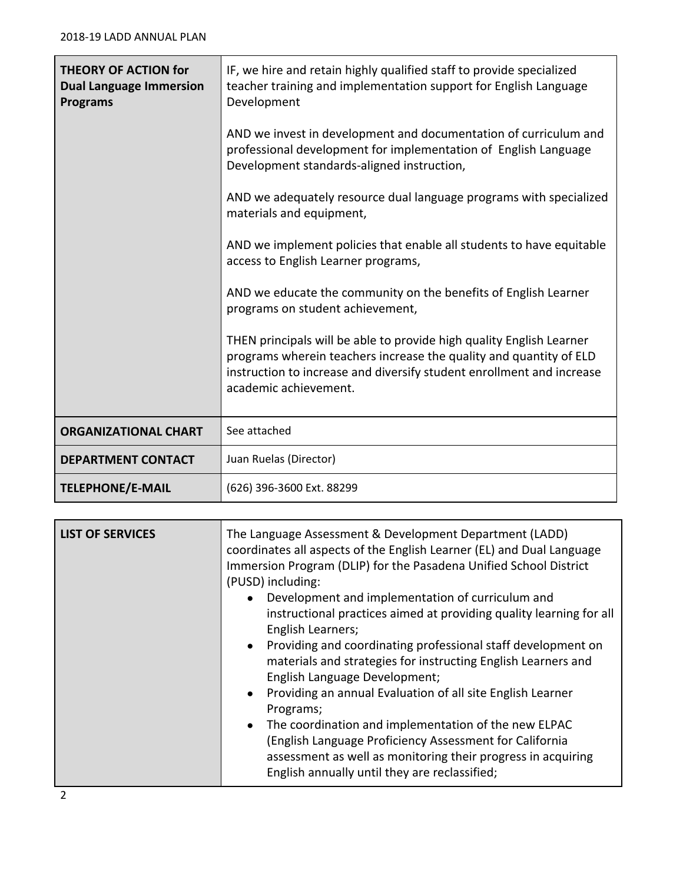| <b>THEORY OF ACTION for</b><br><b>Dual Language Immersion</b><br><b>Programs</b> | IF, we hire and retain highly qualified staff to provide specialized<br>teacher training and implementation support for English Language<br>Development                                                                                      |  |  |  |  |
|----------------------------------------------------------------------------------|----------------------------------------------------------------------------------------------------------------------------------------------------------------------------------------------------------------------------------------------|--|--|--|--|
|                                                                                  | AND we invest in development and documentation of curriculum and<br>professional development for implementation of English Language<br>Development standards-aligned instruction,                                                            |  |  |  |  |
|                                                                                  | AND we adequately resource dual language programs with specialized<br>materials and equipment,                                                                                                                                               |  |  |  |  |
|                                                                                  | AND we implement policies that enable all students to have equitable<br>access to English Learner programs,                                                                                                                                  |  |  |  |  |
|                                                                                  | AND we educate the community on the benefits of English Learner<br>programs on student achievement,                                                                                                                                          |  |  |  |  |
|                                                                                  | THEN principals will be able to provide high quality English Learner<br>programs wherein teachers increase the quality and quantity of ELD<br>instruction to increase and diversify student enrollment and increase<br>academic achievement. |  |  |  |  |
| <b>ORGANIZATIONAL CHART</b>                                                      | See attached                                                                                                                                                                                                                                 |  |  |  |  |
| <b>DEPARTMENT CONTACT</b>                                                        | Juan Ruelas (Director)                                                                                                                                                                                                                       |  |  |  |  |
| <b>TELEPHONE/E-MAIL</b>                                                          | (626) 396-3600 Ext. 88299                                                                                                                                                                                                                    |  |  |  |  |

| <b>LIST OF SERVICES</b> | The Language Assessment & Development Department (LADD)<br>coordinates all aspects of the English Learner (EL) and Dual Language<br>Immersion Program (DLIP) for the Pasadena Unified School District<br>(PUSD) including:<br>Development and implementation of curriculum and<br>$\bullet$<br>instructional practices aimed at providing quality learning for all<br>English Learners;<br>• Providing and coordinating professional staff development on<br>materials and strategies for instructing English Learners and<br>English Language Development;<br>Providing an annual Evaluation of all site English Learner<br>$\bullet$<br>Programs;<br>The coordination and implementation of the new ELPAC<br>$\bullet$<br>(English Language Proficiency Assessment for California<br>assessment as well as monitoring their progress in acquiring |
|-------------------------|-----------------------------------------------------------------------------------------------------------------------------------------------------------------------------------------------------------------------------------------------------------------------------------------------------------------------------------------------------------------------------------------------------------------------------------------------------------------------------------------------------------------------------------------------------------------------------------------------------------------------------------------------------------------------------------------------------------------------------------------------------------------------------------------------------------------------------------------------------|
|                         | English annually until they are reclassified;                                                                                                                                                                                                                                                                                                                                                                                                                                                                                                                                                                                                                                                                                                                                                                                                       |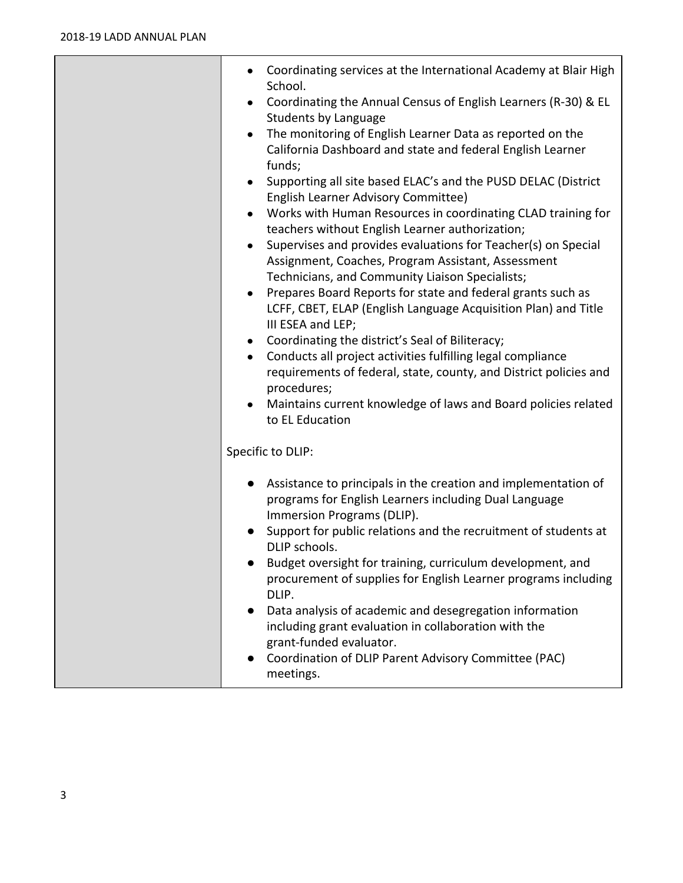| Coordinating services at the International Academy at Blair High<br>School.<br>Coordinating the Annual Census of English Learners (R-30) & EL<br>$\bullet$<br><b>Students by Language</b><br>The monitoring of English Learner Data as reported on the<br>$\bullet$<br>California Dashboard and state and federal English Learner<br>funds;<br>Supporting all site based ELAC's and the PUSD DELAC (District<br><b>English Learner Advisory Committee)</b><br>Works with Human Resources in coordinating CLAD training for<br>teachers without English Learner authorization;<br>Supervises and provides evaluations for Teacher(s) on Special<br>Assignment, Coaches, Program Assistant, Assessment<br>Technicians, and Community Liaison Specialists;<br>Prepares Board Reports for state and federal grants such as<br>$\bullet$<br>LCFF, CBET, ELAP (English Language Acquisition Plan) and Title<br>III ESEA and LEP;<br>Coordinating the district's Seal of Biliteracy;<br>$\bullet$<br>Conducts all project activities fulfilling legal compliance<br>$\bullet$<br>requirements of federal, state, county, and District policies and<br>procedures;<br>Maintains current knowledge of laws and Board policies related<br>to EL Education |
|-------------------------------------------------------------------------------------------------------------------------------------------------------------------------------------------------------------------------------------------------------------------------------------------------------------------------------------------------------------------------------------------------------------------------------------------------------------------------------------------------------------------------------------------------------------------------------------------------------------------------------------------------------------------------------------------------------------------------------------------------------------------------------------------------------------------------------------------------------------------------------------------------------------------------------------------------------------------------------------------------------------------------------------------------------------------------------------------------------------------------------------------------------------------------------------------------------------------------------------------------|
| Specific to DLIP:                                                                                                                                                                                                                                                                                                                                                                                                                                                                                                                                                                                                                                                                                                                                                                                                                                                                                                                                                                                                                                                                                                                                                                                                                               |
| • Assistance to principals in the creation and implementation of<br>programs for English Learners including Dual Language<br>Immersion Programs (DLIP).<br>Support for public relations and the recruitment of students at<br>DLIP schools.<br>Budget oversight for training, curriculum development, and<br>procurement of supplies for English Learner programs including<br>DLIP.<br>Data analysis of academic and desegregation information<br>$\bullet$<br>including grant evaluation in collaboration with the<br>grant-funded evaluator.<br>Coordination of DLIP Parent Advisory Committee (PAC)<br>meetings.                                                                                                                                                                                                                                                                                                                                                                                                                                                                                                                                                                                                                            |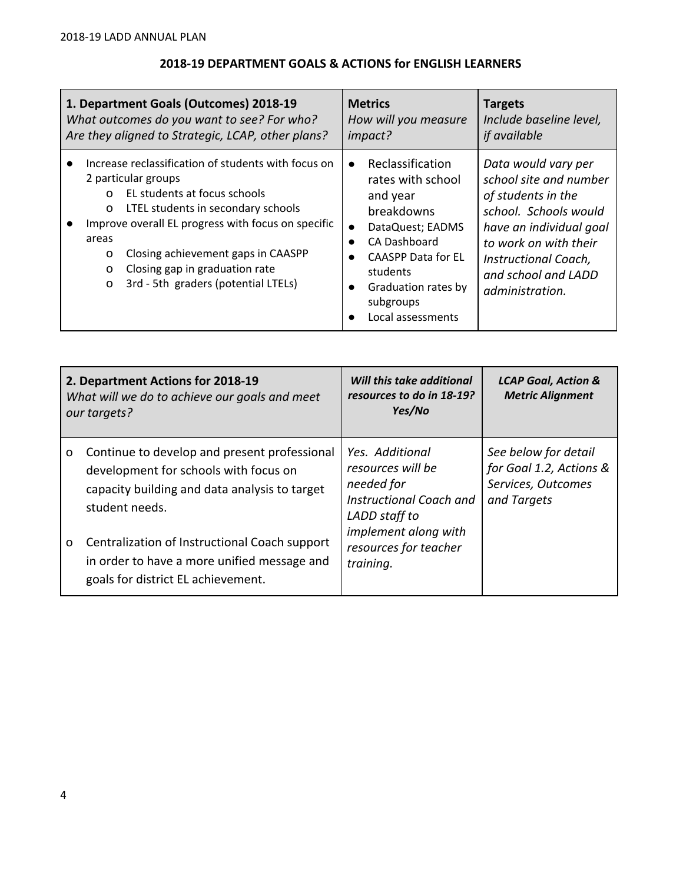# **2018-19 DEPARTMENT GOALS & ACTIONS for ENGLISH LEARNERS**

| 1. Department Goals (Outcomes) 2018-19                                                                                                                                                                                                                                                                                                                         | <b>Metrics</b>                                                                                                                                                                                                                                            | <b>Targets</b>                                                                                                                                                                                                     |
|----------------------------------------------------------------------------------------------------------------------------------------------------------------------------------------------------------------------------------------------------------------------------------------------------------------------------------------------------------------|-----------------------------------------------------------------------------------------------------------------------------------------------------------------------------------------------------------------------------------------------------------|--------------------------------------------------------------------------------------------------------------------------------------------------------------------------------------------------------------------|
| What outcomes do you want to see? For who?                                                                                                                                                                                                                                                                                                                     | How will you measure                                                                                                                                                                                                                                      | Include baseline level,                                                                                                                                                                                            |
| Are they aligned to Strategic, LCAP, other plans?                                                                                                                                                                                                                                                                                                              | impact?                                                                                                                                                                                                                                                   | <i>if available</i>                                                                                                                                                                                                |
| Increase reclassification of students with focus on<br>2 particular groups<br>EL students at focus schools<br>$\Omega$<br>LTEL students in secondary schools<br>0<br>Improve overall EL progress with focus on specific<br>areas<br>Closing achievement gaps in CAASPP<br>0<br>Closing gap in graduation rate<br>o<br>3rd - 5th graders (potential LTELs)<br>O | Reclassification<br>$\bullet$<br>rates with school<br>and year<br>breakdowns<br>DataQuest; EADMS<br>CA Dashboard<br>$\bullet$<br><b>CAASPP Data for EL</b><br>$\bullet$<br>students<br>Graduation rates by<br>$\bullet$<br>subgroups<br>Local assessments | Data would vary per<br>school site and number<br>of students in the<br>school. Schools would<br>have an individual goal<br>to work on with their<br>Instructional Coach,<br>and school and LADD<br>administration. |

| 2. Department Actions for 2018-19<br>What will we do to achieve our goals and meet<br>our targets? |                                                                                                                                                          | Will this take additional<br>resources to do in 18-19?<br>Yes/No                                                                                             | <b>LCAP Goal, Action &amp;</b><br><b>Metric Alignment</b>                            |
|----------------------------------------------------------------------------------------------------|----------------------------------------------------------------------------------------------------------------------------------------------------------|--------------------------------------------------------------------------------------------------------------------------------------------------------------|--------------------------------------------------------------------------------------|
| O                                                                                                  | Continue to develop and present professional<br>development for schools with focus on<br>capacity building and data analysis to target<br>student needs. | Yes. Additional<br>resources will be<br>needed for<br>Instructional Coach and<br>LADD staff to<br>implement along with<br>resources for teacher<br>training. | See below for detail<br>for Goal 1.2, Actions &<br>Services, Outcomes<br>and Targets |
| 0                                                                                                  | Centralization of Instructional Coach support<br>in order to have a more unified message and<br>goals for district EL achievement.                       |                                                                                                                                                              |                                                                                      |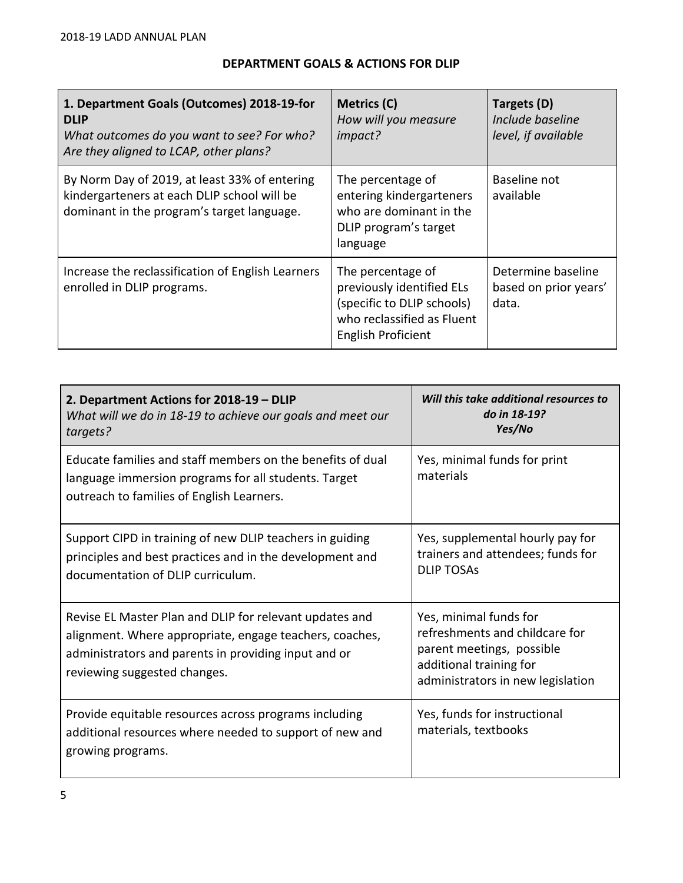## **DEPARTMENT GOALS & ACTIONS FOR DLIP**

| 1. Department Goals (Outcomes) 2018-19-for<br><b>DLIP</b><br>What outcomes do you want to see? For who?<br>Are they aligned to LCAP, other plans? | Metrics (C)<br>How will you measure<br>impact?                                                                                   | Targets (D)<br>Include baseline<br>level, if available |
|---------------------------------------------------------------------------------------------------------------------------------------------------|----------------------------------------------------------------------------------------------------------------------------------|--------------------------------------------------------|
| By Norm Day of 2019, at least 33% of entering<br>kindergarteners at each DLIP school will be<br>dominant in the program's target language.        | The percentage of<br>entering kindergarteners<br>who are dominant in the<br>DLIP program's target<br>language                    | Baseline not<br>available                              |
| Increase the reclassification of English Learners<br>enrolled in DLIP programs.                                                                   | The percentage of<br>previously identified ELs<br>(specific to DLIP schools)<br>who reclassified as Fluent<br>English Proficient | Determine baseline<br>based on prior years'<br>data.   |

| 2. Department Actions for 2018-19 - DLIP<br>What will we do in 18-19 to achieve our goals and meet our<br>targets?                                                                                         | Will this take additional resources to<br>do in 18-19?<br>Yes/No                                                                                      |
|------------------------------------------------------------------------------------------------------------------------------------------------------------------------------------------------------------|-------------------------------------------------------------------------------------------------------------------------------------------------------|
| Educate families and staff members on the benefits of dual<br>language immersion programs for all students. Target<br>outreach to families of English Learners.                                            | Yes, minimal funds for print<br>materials                                                                                                             |
| Support CIPD in training of new DLIP teachers in guiding<br>principles and best practices and in the development and<br>documentation of DLIP curriculum.                                                  | Yes, supplemental hourly pay for<br>trainers and attendees; funds for<br><b>DLIP TOSAS</b>                                                            |
| Revise EL Master Plan and DLIP for relevant updates and<br>alignment. Where appropriate, engage teachers, coaches,<br>administrators and parents in providing input and or<br>reviewing suggested changes. | Yes, minimal funds for<br>refreshments and childcare for<br>parent meetings, possible<br>additional training for<br>administrators in new legislation |
| Provide equitable resources across programs including<br>additional resources where needed to support of new and<br>growing programs.                                                                      | Yes, funds for instructional<br>materials, textbooks                                                                                                  |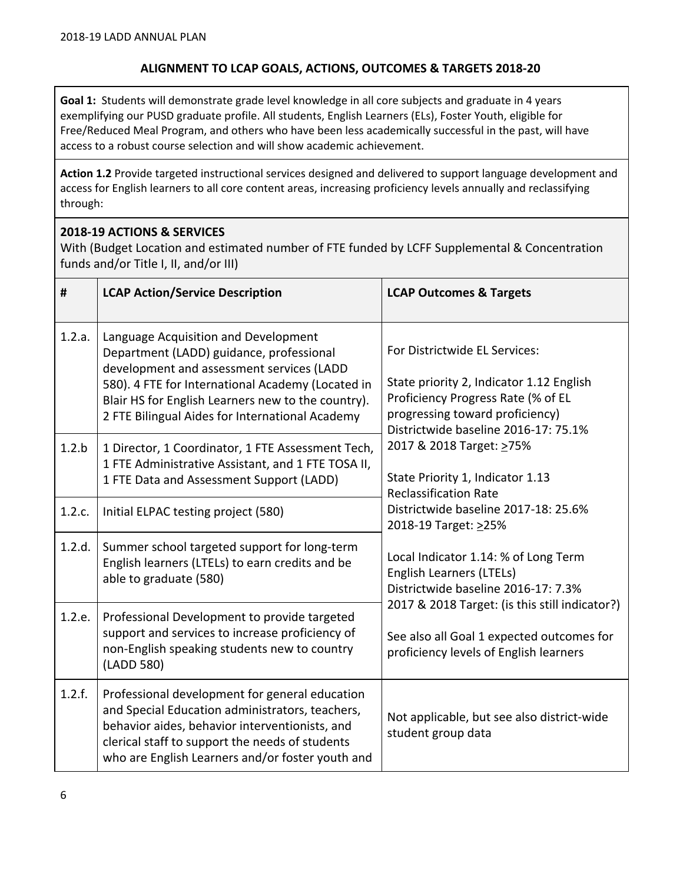### **ALIGNMENT TO LCAP GOALS, ACTIONS, OUTCOMES & TARGETS 2018-20**

**Goal 1:** Students will demonstrate grade level knowledge in all core subjects and graduate in 4 years exemplifying our PUSD graduate profile. All students, English Learners (ELs), Foster Youth, eligible for Free/Reduced Meal Program, and others who have been less academically successful in the past, will have access to a robust course selection and will show academic achievement.

**Action 1.2** Provide targeted instructional services designed and delivered to support language development and access for English learners to all core content areas, increasing proficiency levels annually and reclassifying through:

### **2018-19 ACTIONS & SERVICES**

With (Budget Location and estimated number of FTE funded by LCFF Supplemental & Concentration funds and/or Title I, II, and/or III)

| #      | <b>LCAP Action/Service Description</b>                                                                                                                                                                                                                                                      | <b>LCAP Outcomes &amp; Targets</b>                                                                                                                                                                                                                                                         |  |
|--------|---------------------------------------------------------------------------------------------------------------------------------------------------------------------------------------------------------------------------------------------------------------------------------------------|--------------------------------------------------------------------------------------------------------------------------------------------------------------------------------------------------------------------------------------------------------------------------------------------|--|
| 1.2.a. | Language Acquisition and Development<br>Department (LADD) guidance, professional<br>development and assessment services (LADD<br>580). 4 FTE for International Academy (Located in<br>Blair HS for English Learners new to the country).<br>2 FTE Bilingual Aides for International Academy | For Districtwide EL Services:<br>State priority 2, Indicator 1.12 English<br>Proficiency Progress Rate (% of EL<br>progressing toward proficiency)<br>Districtwide baseline 2016-17: 75.1%<br>2017 & 2018 Target: >75%<br>State Priority 1, Indicator 1.13<br><b>Reclassification Rate</b> |  |
| 1.2.b  | 1 Director, 1 Coordinator, 1 FTE Assessment Tech,<br>1 FTE Administrative Assistant, and 1 FTE TOSA II,<br>1 FTE Data and Assessment Support (LADD)                                                                                                                                         |                                                                                                                                                                                                                                                                                            |  |
| 1.2.c. | Initial ELPAC testing project (580)                                                                                                                                                                                                                                                         | Districtwide baseline 2017-18: 25.6%<br>2018-19 Target: >25%                                                                                                                                                                                                                               |  |
| 1.2.d. | Summer school targeted support for long-term<br>English learners (LTELs) to earn credits and be<br>able to graduate (580)                                                                                                                                                                   | Local Indicator 1.14: % of Long Term<br>English Learners (LTELs)<br>Districtwide baseline 2016-17: 7.3%                                                                                                                                                                                    |  |
| 1.2.e. | Professional Development to provide targeted<br>support and services to increase proficiency of<br>non-English speaking students new to country<br>(LADD 580)                                                                                                                               | 2017 & 2018 Target: (is this still indicator?)<br>See also all Goal 1 expected outcomes for<br>proficiency levels of English learners                                                                                                                                                      |  |
| 1.2.f. | Professional development for general education<br>and Special Education administrators, teachers,<br>behavior aides, behavior interventionists, and<br>clerical staff to support the needs of students<br>who are English Learners and/or foster youth and                                  | Not applicable, but see also district-wide<br>student group data                                                                                                                                                                                                                           |  |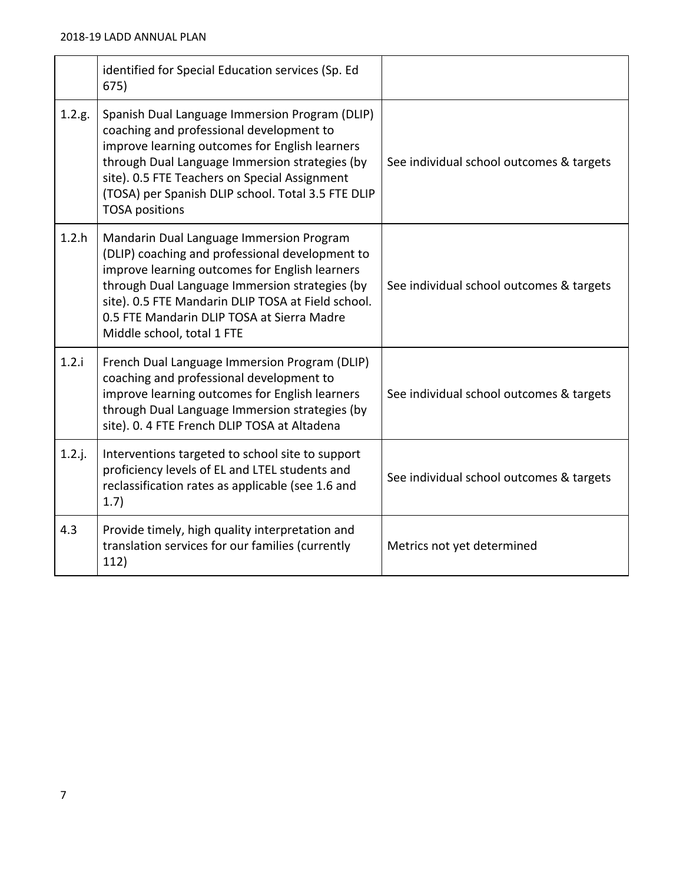|           | identified for Special Education services (Sp. Ed<br>675)                                                                                                                                                                                                                                                                         |                                          |
|-----------|-----------------------------------------------------------------------------------------------------------------------------------------------------------------------------------------------------------------------------------------------------------------------------------------------------------------------------------|------------------------------------------|
| 1.2.g.    | Spanish Dual Language Immersion Program (DLIP)<br>coaching and professional development to<br>improve learning outcomes for English learners<br>through Dual Language Immersion strategies (by<br>site). 0.5 FTE Teachers on Special Assignment<br>(TOSA) per Spanish DLIP school. Total 3.5 FTE DLIP<br><b>TOSA positions</b>    | See individual school outcomes & targets |
| 1.2.h     | Mandarin Dual Language Immersion Program<br>(DLIP) coaching and professional development to<br>improve learning outcomes for English learners<br>through Dual Language Immersion strategies (by<br>site). 0.5 FTE Mandarin DLIP TOSA at Field school.<br>0.5 FTE Mandarin DLIP TOSA at Sierra Madre<br>Middle school, total 1 FTE | See individual school outcomes & targets |
| 1.2.i     | French Dual Language Immersion Program (DLIP)<br>coaching and professional development to<br>improve learning outcomes for English learners<br>through Dual Language Immersion strategies (by<br>site). 0. 4 FTE French DLIP TOSA at Altadena                                                                                     | See individual school outcomes & targets |
| $1.2.$ j. | Interventions targeted to school site to support<br>proficiency levels of EL and LTEL students and<br>reclassification rates as applicable (see 1.6 and<br>1.7)                                                                                                                                                                   | See individual school outcomes & targets |
| 4.3       | Provide timely, high quality interpretation and<br>translation services for our families (currently<br>112)                                                                                                                                                                                                                       | Metrics not yet determined               |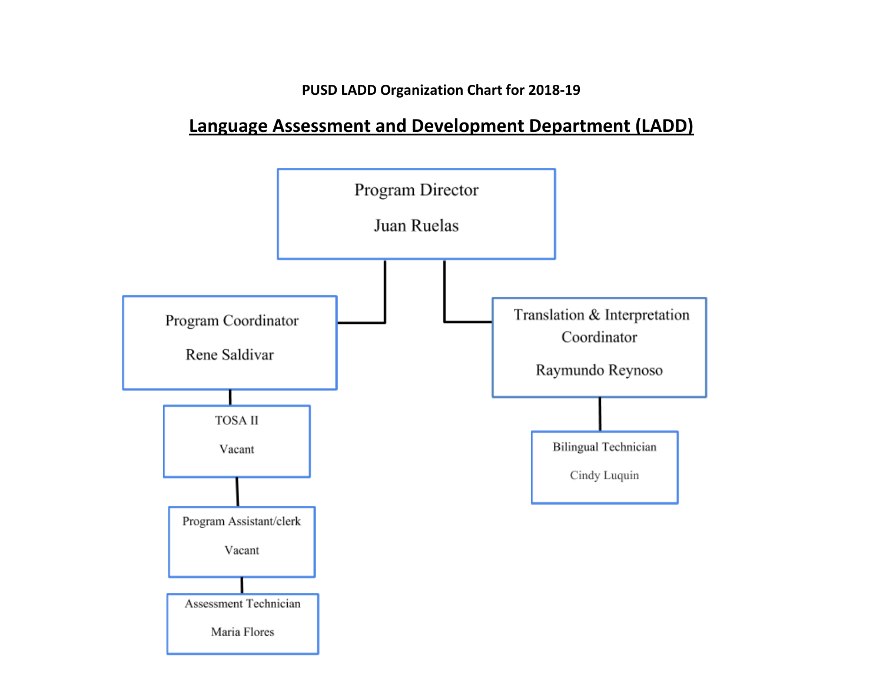**PUSD LADD Organization Chart for 2018-19**

# **Language Assessment and Development Department (LADD)**

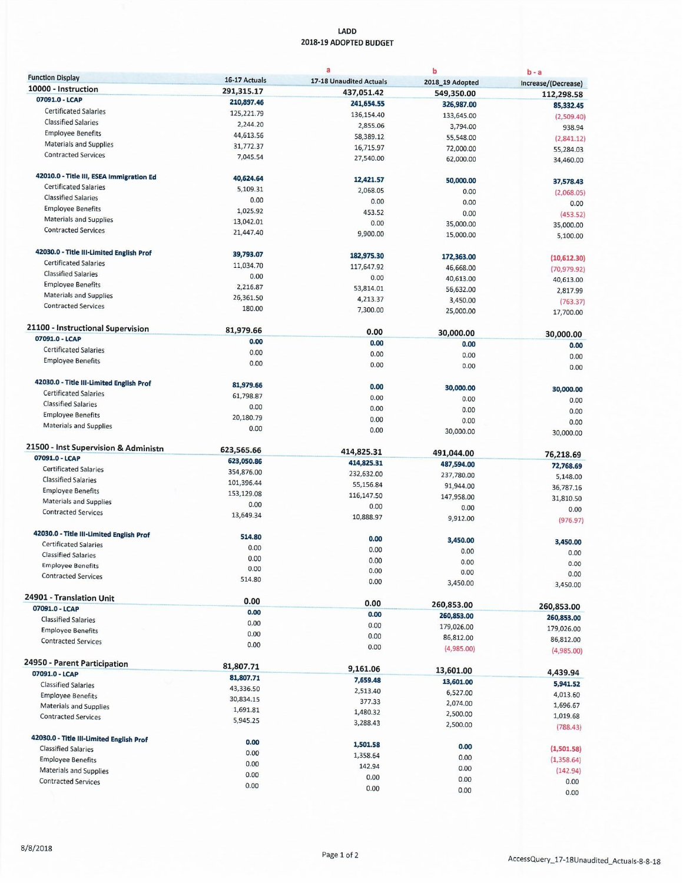#### LADD 2018-19 ADOPTED BUDGET

|                                          |                      | a                       | b                       | $b - a$               |
|------------------------------------------|----------------------|-------------------------|-------------------------|-----------------------|
| <b>Function Display</b>                  | 16-17 Actuals        | 17-18 Unaudited Actuals | 2018_19 Adopted         | Increase/(Decrease)   |
| 10000 - Instruction                      | 291,315.17           | 437,051.42              | 549,350.00              | 112,298.58            |
| 07091.0 - LCAP                           | 210,897.46           | 241,654.55              | 326,987.00              | 85,332.45             |
| <b>Certificated Salaries</b>             | 125,221.79           | 136,154.40              | 133,645.00              | (2,509.40)            |
| <b>Classified Salaries</b>               | 2,244.20             | 2,855.06                | 3,794.00                | 938.94                |
| <b>Employee Benefits</b>                 | 44,613.56            | 58,389.12               | 55,548.00               | (2,841.12)            |
| <b>Materials and Supplies</b>            | 31,772.37            | 16,715.97               | 72,000.00               | 55,284.03             |
| <b>Contracted Services</b>               | 7,045.54             | 27,540.00               | 62,000.00               | 34,460.00             |
| 42010.0 - Title III, ESEA Immigration Ed | 40,624.64            | 12,421.57               | 50,000.00               | 37,578.43             |
| <b>Certificated Salaries</b>             | 5,109.31             | 2,068.05                | 0.00                    | (2,068.05)            |
| <b>Classified Salaries</b>               | 0.00                 | 0.00                    | 0.00                    | 0.00                  |
| <b>Employee Benefits</b>                 | 1,025.92             | 453.52                  | 0.00                    | (453.52)              |
| <b>Materials and Supplies</b>            | 13,042.01            | 0.00                    | 35,000.00               | 35,000.00             |
| <b>Contracted Services</b>               | 21,447.40            | 9,900.00                | 15,000.00               | 5,100.00              |
| 42030.0 - Title III-Limited English Prof | 39,793.07            | 182,975.30              | 172,363.00              |                       |
| <b>Certificated Salaries</b>             | 11,034.70            | 117,647.92              | 46,668.00               | (10,612.30)           |
| <b>Classified Salaries</b>               | 0.00                 | 0.00                    | 40,613.00               | (70, 979.92)          |
| <b>Employee Benefits</b>                 | 2,216.87             | 53,814.01               | 56,632.00               | 40,613.00             |
| <b>Materials and Supplies</b>            | 26,361.50            | 4,213.37                | 3,450.00                | 2,817.99              |
| <b>Contracted Services</b>               | 180.00               | 7,300.00                | 25,000.00               | (763.37)<br>17,700.00 |
| 21100 - Instructional Supervision        | 81,979.66            |                         |                         |                       |
| 07091.0 - LCAP                           | 0.00                 | 0.00                    | 30,000.00               | 30,000.00             |
| <b>Certificated Salaries</b>             | 0.00                 | 0.00                    | 0.00                    | 0.00                  |
| <b>Employee Benefits</b>                 | 0.00                 | 0.00                    | 0.00                    | 0.00                  |
|                                          |                      | 0.00                    | 0.00                    | 0.00                  |
| 42030.0 - Title III-Limited English Prof | 81,979.66            | 0.00                    | 30,000.00               | 30,000.00             |
| <b>Certificated Salaries</b>             | 61,798.87            | 0.00                    | 0.00                    | 0.00                  |
| <b>Classified Salaries</b>               | 0.00                 | 0.00                    | 0.00                    | 0.00                  |
| <b>Employee Benefits</b>                 | 20,180.79            | 0.00                    | 0.00                    | 0.00                  |
| <b>Materials and Supplies</b>            | 0.00                 | 0.00                    | 30,000.00               | 30,000.00             |
| 21500 - Inst Supervision & Administn     | 623,565.66           | 414,825.31              | 491,044.00              |                       |
| 07091.0 - LCAP                           | 623,050.86           | 414,825.31              | 487,594.00              | 76,218.69             |
| <b>Certificated Salaries</b>             | 354,876.00           | 232,632.00              | 237,780.00              | 72,768.69             |
| <b>Classified Salaries</b>               | 101,396.44           | 55,156.84               | 91,944.00               | 5,148.00              |
| <b>Employee Benefits</b>                 | 153,129.08           | 116,147.50              | 147,958.00              | 36,787.16             |
| <b>Materials and Supplies</b>            | 0.00                 | 0.00                    | 0.00                    | 31,810.50             |
| <b>Contracted Services</b>               | 13,649.34            | 10,888.97               | 9,912.00                | 0.00<br>(976.97)      |
| 42030.0 - Title III-Limited English Prof | 514.80               | 0.00                    |                         |                       |
| <b>Certificated Salaries</b>             | 0.00                 | 0.00                    | 3,450.00                | 3,450.00              |
| <b>Classified Salaries</b>               | 0.00                 | 0.00                    | 0.00                    | 0.00                  |
| <b>Employee Benefits</b>                 | 0.00                 | 0.00                    | 0.00                    | 0.00                  |
| <b>Contracted Services</b>               | 514.80               | 0.00                    | 0.00<br>3,450.00        | 0.00<br>3,450.00      |
| 24901 - Translation Unit                 | 0.00                 |                         |                         |                       |
| 07091.0 - LCAP                           | 0.00                 | 0.00                    | 260,853.00              | 260,853.00            |
| <b>Classified Salaries</b>               | 0.00                 | 0.00                    | 260,853.00              | 260,853.00            |
| <b>Employee Benefits</b>                 | 0.00                 | 0.00                    | 179,026.00              | 179,026.00            |
| <b>Contracted Services</b>               | 0.00                 | 0.00<br>0.00            | 86,812.00<br>(4,985.00) | 86,812.00             |
| 24950 - Parent Participation             |                      |                         |                         | (4,985.00)            |
| 07091.0 - LCAP                           | 81,807.71            | 9,161.06                | 13,601.00               | 4,439.94              |
| <b>Classified Salaries</b>               | 81,807.71            | 7,659.48                | 13,601.00               | 5,941.52              |
| <b>Employee Benefits</b>                 | 43,336.50            | 2,513.40                | 6,527.00                | 4,013.60              |
| <b>Materials and Supplies</b>            | 30,834.15            | 377.33                  | 2,074.00                | 1,696.67              |
| <b>Contracted Services</b>               | 1,691.81<br>5,945.25 | 1,480.32                | 2,500.00                | 1,019.68              |
|                                          |                      | 3,288.43                | 2,500.00                | (788.43)              |
| 42030.0 - Title III-Limited English Prof | 0.00                 | 1,501.58                |                         |                       |
| <b>Classified Salaries</b>               | 0.00                 | 1,358.64                | 0.00                    | (1,501.58)            |
| <b>Employee Benefits</b>                 | 0.00                 | 142.94                  | 0.00<br>0.00            | (1,358.64)            |
| Materials and Supplies                   | 0.00                 | 0.00                    | 0.00                    | (142.94)              |
| <b>Contracted Services</b>               | 0.00                 | 0.00                    | 0.00                    | 0.00                  |
|                                          |                      |                         |                         | 0.00                  |